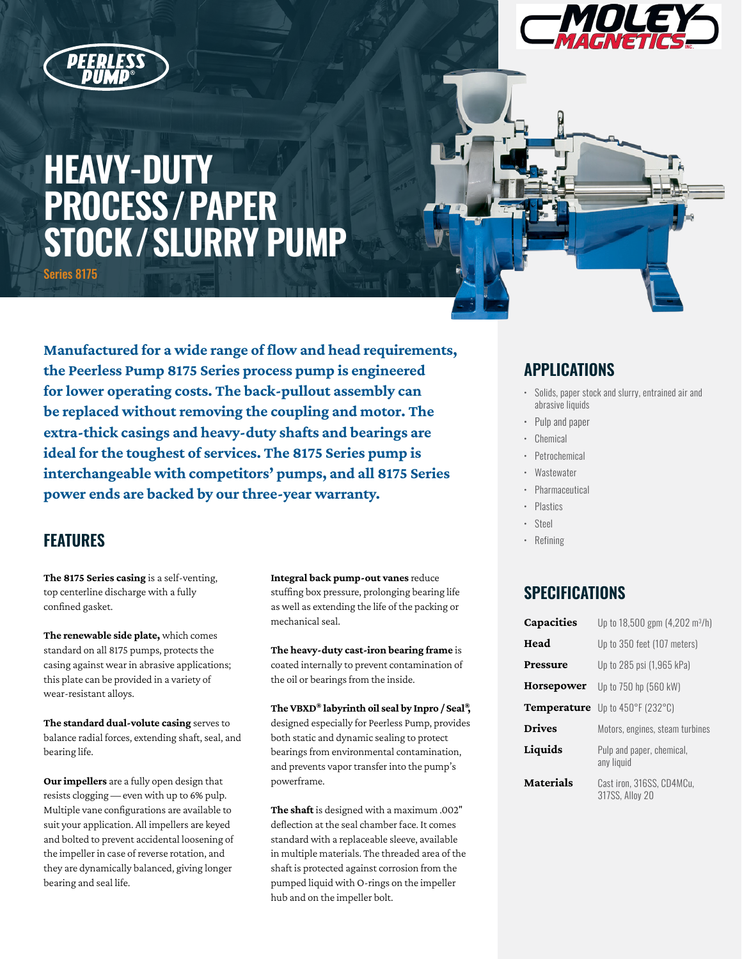



# **HEAVY-DUTY PROCESS/PAPER STOCK/SLURRY PUMP**

Series 8175

**Manufactured for a wide range of flow and head requirements, the Peerless Pump 8175 Series process pump is engineered for lower operating costs. The back-pullout assembly can be replaced without removing the coupling and motor. The extra-thick casings and heavy-duty shafts and bearings are ideal for the toughest of services. The 8175 Series pump is interchangeable with competitors' pumps, and all 8175 Series power ends are backed by our three-year warranty.**

## **FEATURES**

**The 8175 Series casing** is a self-venting, top centerline discharge with a fully confined gasket.

**The renewable side plate,** which comes standard on all 8175 pumps, protects the casing against wear in abrasive applications; this plate can be provided in a variety of wear-resistant alloys.

**The standard dual-volute casing** serves to balance radial forces, extending shaft, seal, and bearing life.

**Our impellers** are a fully open design that resists clogging — even with up to 6% pulp. Multiple vane configurations are available to suit your application. All impellers are keyed and bolted to prevent accidental loosening of the impeller in case of reverse rotation, and they are dynamically balanced, giving longer bearing and seal life.

**Integral back pump-out vanes** reduce stuffing box pressure, prolonging bearing life as well as extending the life of the packing or mechanical seal.

**The heavy-duty cast-iron bearing frame** is coated internally to prevent contamination of the oil or bearings from the inside.

**The VBXD® labyrinth oil seal by Inpro / Seal®,**  designed especially for Peerless Pump, provides both static and dynamic sealing to protect bearings from environmental contamination, and prevents vapor transfer into the pump's powerframe.

**The shaft** is designed with a maximum .002" deflection at the seal chamber face. It comes standard with a replaceable sleeve, available in multiple materials. The threaded area of the shaft is protected against corrosion from the pumped liquid with O-rings on the impeller hub and on the impeller bolt.

## **APPLICATIONS**

- Solids, paper stock and slurry, entrained air and abrasive liquids
- Pulp and paper
- **Chemical**
- Petrochemical
- **Wastewater**
- Pharmaceutical
- Plastics
- Steel
- Refining

## **SPECIFICATIONS**

| <b>Capacities</b> | Up to $18,500$ gpm $(4,202 \text{ m}^3/h)$   |
|-------------------|----------------------------------------------|
| Head              | Up to 350 feet (107 meters)                  |
| Pressure          | Up to 285 psi (1,965 kPa)                    |
| Horsepower        | Up to 750 hp (560 kW)                        |
| Temperature       | Up to 450°F (232°C)                          |
| <b>Drives</b>     | Motors, engines, steam turbines              |
| Liquids           | Pulp and paper, chemical,<br>any liquid      |
| Materials         | Cast iron. 316SS. CD4MCu.<br>317SS, Allov 20 |